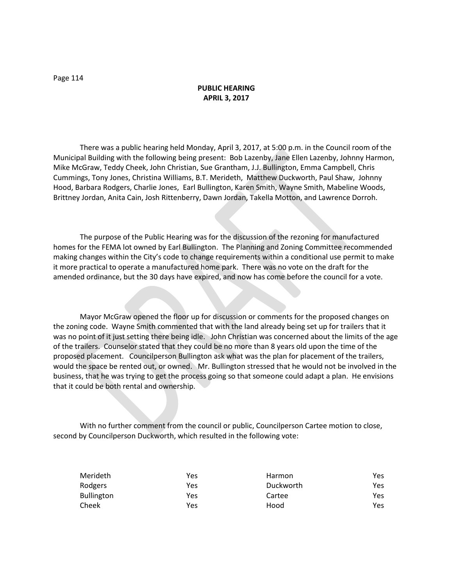### **PUBLIC HEARING APRIL 3, 2017**

There was a public hearing held Monday, April 3, 2017, at 5:00 p.m. in the Council room of the Municipal Building with the following being present: Bob Lazenby, Jane Ellen Lazenby, Johnny Harmon, Mike McGraw, Teddy Cheek, John Christian, Sue Grantham, J.J. Bullington, Emma Campbell, Chris Cummings, Tony Jones, Christina Williams, B.T. Merideth, Matthew Duckworth, Paul Shaw, Johnny Hood, Barbara Rodgers, Charlie Jones, Earl Bullington, Karen Smith, Wayne Smith, Mabeline Woods, Brittney Jordan, Anita Cain, Josh Rittenberry, Dawn Jordan, Takella Motton, and Lawrence Dorroh.

The purpose of the Public Hearing was for the discussion of the rezoning for manufactured homes for the FEMA lot owned by Earl Bullington. The Planning and Zoning Committee recommended making changes within the City's code to change requirements within a conditional use permit to make it more practical to operate a manufactured home park. There was no vote on the draft for the amended ordinance, but the 30 days have expired, and now has come before the council for a vote.

Mayor McGraw opened the floor up for discussion or comments for the proposed changes on the zoning code. Wayne Smith commented that with the land already being set up for trailers that it was no point of it just setting there being idle. John Christian was concerned about the limits of the age of the trailers. Counselor stated that they could be no more than 8 years old upon the time of the proposed placement. Councilperson Bullington ask what was the plan for placement of the trailers, would the space be rented out, or owned. Mr. Bullington stressed that he would not be involved in the business, that he was trying to get the process going so that someone could adapt a plan. He envisions that it could be both rental and ownership.

With no further comment from the council or public, Councilperson Cartee motion to close, second by Councilperson Duckworth, which resulted in the following vote:

| Merideth          | Yes | Harmon    | Yes |
|-------------------|-----|-----------|-----|
| Rodgers           | Yes | Duckworth | Yes |
| <b>Bullington</b> | Yes | Cartee    | Yes |
| Cheek             | Yes | Hood      | Yes |

Page 114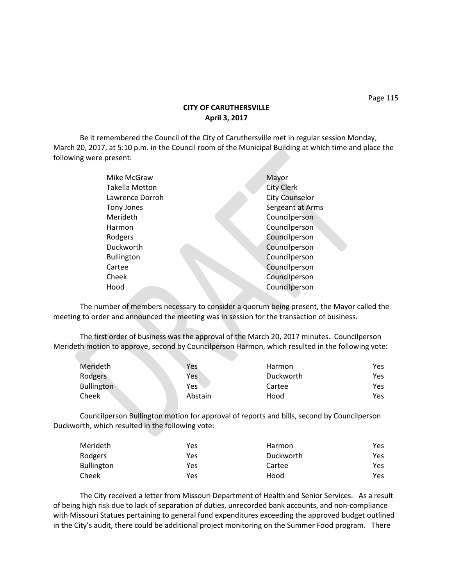Page 115

## **CITY OF CARUTHERSVILLE April 3, 2017**

Be it remembered the Council of the City of Caruthersville met in regular session Monday, March 20, 2017, at 5:10 p.m. in the Council room of the Municipal Building at which time and place the following were present:

| Mike McGraw           | Mayor                 |
|-----------------------|-----------------------|
| <b>Takella Motton</b> | <b>City Clerk</b>     |
| Lawrence Dorroh       | <b>City Counselor</b> |
| <b>Tony Jones</b>     | Sergeant at Arms      |
| Merideth              | Councilperson         |
| Harmon                | Councilperson         |
| Rodgers               | Councilperson         |
| Duckworth             | Councilperson         |
| <b>Bullington</b>     | Councilperson         |
| Cartee                | Councilperson         |
| Cheek                 | Councilperson         |
| Hood                  | Councilperson         |
|                       |                       |

The number of members necessary to consider a quorum being present, the Mayor called the meeting to order and announced the meeting was in session for the transaction of business.

The first order of business was the approval of the March 20, 2017 minutes. Councilperson Merideth motion to approve, second by Councilperson Harmon, which resulted in the following vote:

| Merideth          | Yes     | Harmon    | Yes. |
|-------------------|---------|-----------|------|
| Rodgers           | Yes     | Duckworth | Yes. |
| <b>Bullington</b> | Yes.    | Cartee    | Yes. |
| Cheek             | Abstain | Hood      | Yes. |
|                   |         |           |      |

Councilperson Bullington motion for approval of reports and bills, second by Councilperson Duckworth, which resulted in the following vote:

| Merideth   | Yes | Harmon    | Yes |
|------------|-----|-----------|-----|
| Rodgers    | Yes | Duckworth | Yes |
| Bullington | Yes | Cartee    | Yes |
| Cheek      | Yes | Hood      | Yes |

The City received a letter from Missouri Department of Health and Senior Services. As a result of being high risk due to lack of separation of duties, unrecorded bank accounts, and non-compliance with Missouri Statues pertaining to general fund expenditures exceeding the approved budget outlined in the City's audit, there could be additional project monitoring on the Summer Food program. There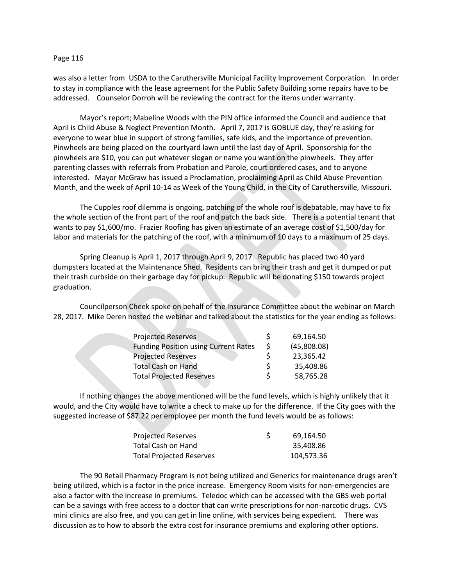#### Page 116

was also a letter from USDA to the Caruthersville Municipal Facility Improvement Corporation. In order to stay in compliance with the lease agreement for the Public Safety Building some repairs have to be addressed. Counselor Dorroh will be reviewing the contract for the items under warranty.

Mayor's report; Mabeline Woods with the PIN office informed the Council and audience that April is Child Abuse & Neglect Prevention Month. April 7, 2017 is GOBLUE day, they're asking for everyone to wear blue in support of strong families, safe kids, and the importance of prevention. Pinwheels are being placed on the courtyard lawn until the last day of April. Sponsorship for the pinwheels are \$10, you can put whatever slogan or name you want on the pinwheels. They offer parenting classes with referrals from Probation and Parole, court ordered cases, and to anyone interested. Mayor McGraw has issued a Proclamation, proclaiming April as Child Abuse Prevention Month, and the week of April 10-14 as Week of the Young Child, in the City of Caruthersville, Missouri.

The Cupples roof dilemma is ongoing, patching of the whole roof is debatable, may have to fix the whole section of the front part of the roof and patch the back side. There is a potential tenant that wants to pay \$1,600/mo. Frazier Roofing has given an estimate of an average cost of \$1,500/day for labor and materials for the patching of the roof, with a minimum of 10 days to a maximum of 25 days.

Spring Cleanup is April 1, 2017 through April 9, 2017. Republic has placed two 40 yard dumpsters located at the Maintenance Shed. Residents can bring their trash and get it dumped or put their trash curbside on their garbage day for pickup. Republic will be donating \$150 towards project graduation.

Councilperson Cheek spoke on behalf of the Insurance Committee about the webinar on March 28, 2017. Mike Deren hosted the webinar and talked about the statistics for the year ending as follows:

| <b>Projected Reserves</b>                   |   | 69,164.50   |
|---------------------------------------------|---|-------------|
| <b>Funding Position using Current Rates</b> | S | (45,808.08) |
| <b>Projected Reserves</b>                   |   | 23,365.42   |
| <b>Total Cash on Hand</b>                   | S | 35,408.86   |
| <b>Total Projected Reserves</b>             |   | 58,765.28   |
|                                             |   |             |

If nothing changes the above mentioned will be the fund levels, which is highly unlikely that it would, and the City would have to write a check to make up for the difference. If the City goes with the suggested increase of \$87.22 per employee per month the fund levels would be as follows:

| <b>Projected Reserves</b>       | 69.164.50  |
|---------------------------------|------------|
| Total Cash on Hand              | 35.408.86  |
| <b>Total Projected Reserves</b> | 104,573.36 |

The 90 Retail Pharmacy Program is not being utilized and Generics for maintenance drugs aren't being utilized, which is a factor in the price increase. Emergency Room visits for non-emergencies are also a factor with the increase in premiums. Teledoc which can be accessed with the GBS web portal can be a savings with free access to a doctor that can write prescriptions for non-narcotic drugs. CVS mini clinics are also free, and you can get in line online, with services being expedient. There was discussion as to how to absorb the extra cost for insurance premiums and exploring other options.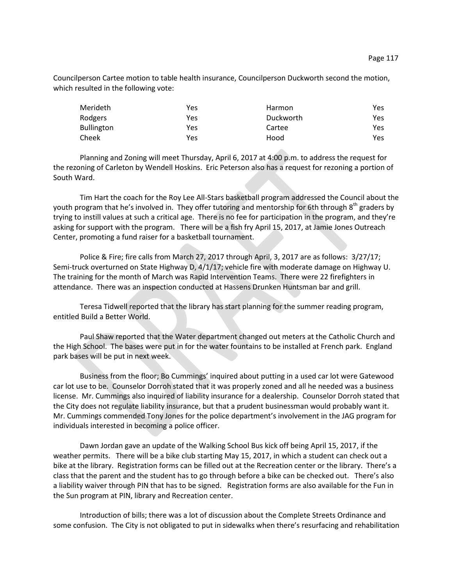Councilperson Cartee motion to table health insurance, Councilperson Duckworth second the motion, which resulted in the following vote:

| Merideth          | Yes | Harmon    | Yes |
|-------------------|-----|-----------|-----|
| Rodgers           | Yes | Duckworth | Yes |
| <b>Bullington</b> | Yes | Cartee    | Yes |
| Cheek             | Yes | Hood      | Yes |

Planning and Zoning will meet Thursday, April 6, 2017 at 4:00 p.m. to address the request for the rezoning of Carleton by Wendell Hoskins. Eric Peterson also has a request for rezoning a portion of South Ward.

Tim Hart the coach for the Roy Lee All-Stars basketball program addressed the Council about the youth program that he's involved in. They offer tutoring and mentorship for 6th through 8<sup>th</sup> graders by trying to instill values at such a critical age. There is no fee for participation in the program, and they're asking for support with the program. There will be a fish fry April 15, 2017, at Jamie Jones Outreach Center, promoting a fund raiser for a basketball tournament.

Police & Fire; fire calls from March 27, 2017 through April, 3, 2017 are as follows: 3/27/17; Semi-truck overturned on State Highway D, 4/1/17; vehicle fire with moderate damage on Highway U. The training for the month of March was Rapid Intervention Teams. There were 22 firefighters in attendance. There was an inspection conducted at Hassens Drunken Huntsman bar and grill.

Teresa Tidwell reported that the library has start planning for the summer reading program, entitled Build a Better World.

Paul Shaw reported that the Water department changed out meters at the Catholic Church and the High School. The bases were put in for the water fountains to be installed at French park. England park bases will be put in next week.

Business from the floor; Bo Cummings' inquired about putting in a used car lot were Gatewood car lot use to be. Counselor Dorroh stated that it was properly zoned and all he needed was a business license. Mr. Cummings also inquired of liability insurance for a dealership. Counselor Dorroh stated that the City does not regulate liability insurance, but that a prudent businessman would probably want it. Mr. Cummings commended Tony Jones for the police department's involvement in the JAG program for individuals interested in becoming a police officer.

Dawn Jordan gave an update of the Walking School Bus kick off being April 15, 2017, if the weather permits. There will be a bike club starting May 15, 2017, in which a student can check out a bike at the library. Registration forms can be filled out at the Recreation center or the library. There's a class that the parent and the student has to go through before a bike can be checked out. There's also a liability waiver through PIN that has to be signed. Registration forms are also available for the Fun in the Sun program at PIN, library and Recreation center.

Introduction of bills; there was a lot of discussion about the Complete Streets Ordinance and some confusion. The City is not obligated to put in sidewalks when there's resurfacing and rehabilitation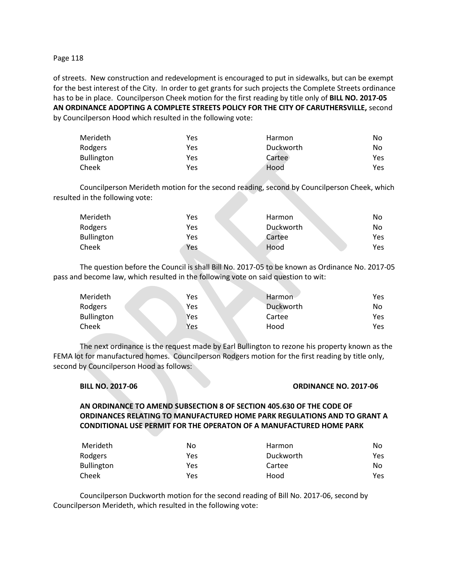#### Page 118

of streets. New construction and redevelopment is encouraged to put in sidewalks, but can be exempt for the best interest of the City. In order to get grants for such projects the Complete Streets ordinance has to be in place. Councilperson Cheek motion for the first reading by title only of **BILL NO. 2017-05 AN ORDINANCE ADOPTING A COMPLETE STREETS POLICY FOR THE CITY OF CARUTHERSVILLE,** second by Councilperson Hood which resulted in the following vote:

| Merideth          | Yes | Harmon    | No  |
|-------------------|-----|-----------|-----|
| Rodgers           | Yes | Duckworth | No  |
| <b>Bullington</b> | Yes | Cartee    | Yes |
| Cheek             | Yes | Hood      | Yes |

Councilperson Merideth motion for the second reading, second by Councilperson Cheek, which resulted in the following vote:

| Merideth          | Yes | <b>Harmon</b> | No  |
|-------------------|-----|---------------|-----|
| Rodgers           | Yes | Duckworth     | No  |
| <b>Bullington</b> | Yes | Cartee        | Yes |
| Cheek             | Yes | Hood          | Yes |

The question before the Council is shall Bill No. 2017-05 to be known as Ordinance No. 2017-05 pass and become law, which resulted in the following vote on said question to wit:

| Merideth          | Yes | Harmon    | Yes |
|-------------------|-----|-----------|-----|
| Rodgers           | Yes | Duckworth | No  |
| <b>Bullington</b> | Yes | Cartee    | Yes |
| Cheek             | Yes | Hood      | Yes |

The next ordinance is the request made by Earl Bullington to rezone his property known as the FEMA lot for manufactured homes. Councilperson Rodgers motion for the first reading by title only, second by Councilperson Hood as follows:

#### **BILL NO. 2017-06 ORDINANCE NO. 2017-06**

**AN ORDINANCE TO AMEND SUBSECTION 8 OF SECTION 405.630 OF THE CODE OF ORDINANCES RELATING TO MANUFACTURED HOME PARK REGULATIONS AND TO GRANT A CONDITIONAL USE PERMIT FOR THE OPERATON OF A MANUFACTURED HOME PARK**

| Merideth          | No  | Harmon    | No   |
|-------------------|-----|-----------|------|
| Rodgers           | Yes | Duckworth | Yes. |
| <b>Bullington</b> | Yes | Cartee    | No.  |
| Cheek             | Yes | Hood      | Yes. |

Councilperson Duckworth motion for the second reading of Bill No. 2017-06, second by Councilperson Merideth, which resulted in the following vote: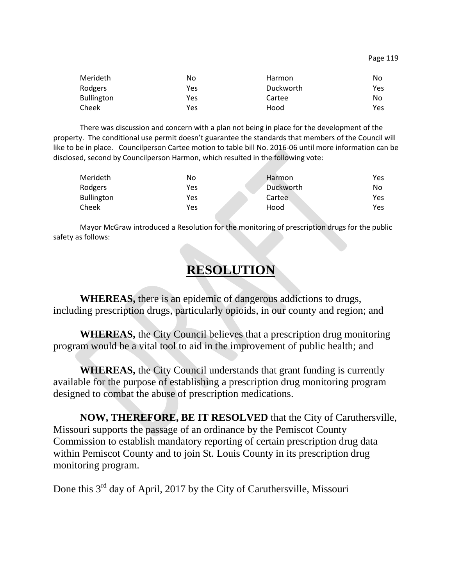| Merideth          | No  | <b>Harmon</b> | No  |
|-------------------|-----|---------------|-----|
| Rodgers           | Yes | Duckworth     | Yes |
| <b>Bullington</b> | Yes | Cartee        | No  |
| Cheek             | Yes | Hood          | Yes |

There was discussion and concern with a plan not being in place for the development of the property. The conditional use permit doesn't guarantee the standards that members of the Council will like to be in place. Councilperson Cartee motion to table bill No. 2016-06 until more information can be disclosed, second by Councilperson Harmon, which resulted in the following vote:

| Merideth          | No  | Harmon    | Yes |
|-------------------|-----|-----------|-----|
| Rodgers           | Yes | Duckworth | No  |
| <b>Bullington</b> | Yes | Cartee    | Yes |
| Cheek             | Yes | Hood      | Yes |

Mayor McGraw introduced a Resolution for the monitoring of prescription drugs for the public safety as follows:

# **RESOLUTION**

**WHEREAS,** there is an epidemic of dangerous addictions to drugs, including prescription drugs, particularly opioids, in our county and region; and

**WHEREAS,** the City Council believes that a prescription drug monitoring program would be a vital tool to aid in the improvement of public health; and

**WHEREAS,** the City Council understands that grant funding is currently available for the purpose of establishing a prescription drug monitoring program designed to combat the abuse of prescription medications.

**NOW, THEREFORE, BE IT RESOLVED** that the City of Caruthersville, Missouri supports the passage of an ordinance by the Pemiscot County Commission to establish mandatory reporting of certain prescription drug data within Pemiscot County and to join St. Louis County in its prescription drug monitoring program.

Done this 3<sup>rd</sup> day of April, 2017 by the City of Caruthersville, Missouri